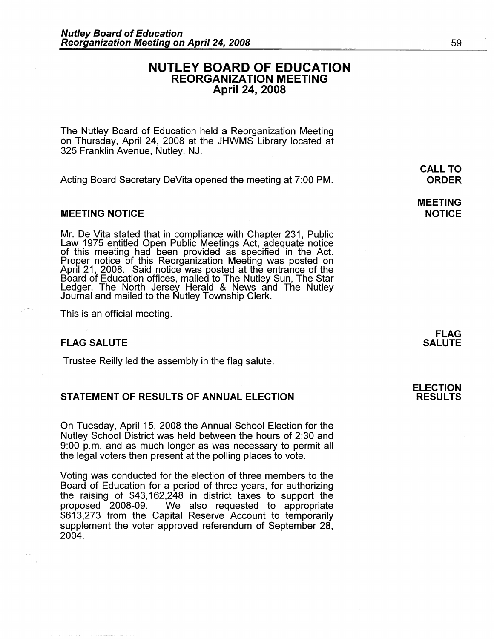# **NUTLEY BOARD OF EDUCATION REORGANIZATION MEETING April 24, 2008**

The Nutley Board of Education held a Reorganization Meeting on Thursday, April 24, 2008 at the JHWMS Library located at 325 Franklin Avenue, Nutley, NJ.

Acting Board Secretary DeVita opened the meeting at 7:00 PM.

# **MEETING NOTICE**

Mr. De Vita stated that in compliance with Chapter 231, Public Law 1975 entitled Open Public Meetings Act, adequate notice of this meeting had been provided as specified in the Act. Proper notice of this Reorganization Meeting was posted on<br>April 21, 2008. Said notice was posted at the entrance of the Board of Education offices, mailed to The Nutley Sun, The Star Ledger, The North Jersey Herald & News and The Nutley Journal and mailed to the Nutley Township Clerk.

This is an official meeting.

#### **FLAG SALUTE**

--------~~------------------------------·-·--··----

Trustee Reilly led the assembly in the flag salute.

# **STATEMENT OF RESULTS OF ANNUAL ELECTION**

On Tuesday, April 15, 2008 the Annual School Election for the Nutley School District was held between the hours of 2:30 and 9:00 p.m. and as much longer as was necessary to permit all the legal voters then present at the polling places to vote.

Voting was conducted for the election of three members to the Board of Education for a period of three years, for authorizing the raising of \$43, 162,248 in district taxes to support the proposed 2008-09. We also requested to appropriate \$613,273 from the. Capital Reserve Account to temporarily supplement the voter approved referendum of September 28, 2004.

**CALL TO ORDER** 

**MEETING NOTICE** 

> **FLAG SALUTE**

**ELECTION RESULTS**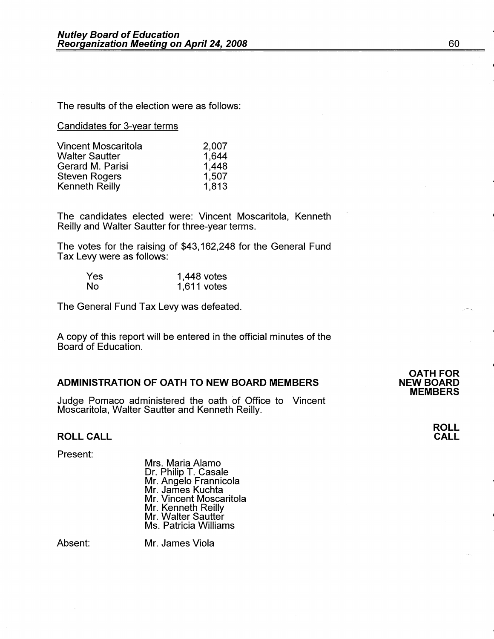The results of the election were as follows:

# Candidates for 3-year terms

| Vincent Moscaritola   | 2,007 |
|-----------------------|-------|
| <b>Walter Sautter</b> | 1,644 |
| Gerard M. Parisi      | 1,448 |
| <b>Steven Rogers</b>  | 1,507 |
| <b>Kenneth Reilly</b> | 1,813 |

The candidates elected were: Vincent Moscaritola, Kenneth Reilly and Walter Sautter for three-year terms.

The votes for the raising of \$43, 162,248 for the General Fund Tax Levy were as follows:

| Yes       | $1,448$ votes |
|-----------|---------------|
| <b>No</b> | $1,611$ votes |

The General Fund Tax Levy was defeated.

A copy of this report will be entered in the official minutes of the Board of Education.

# **ADMINISTRATION OF OATH TO NEW BOARD MEMBERS**

Judge Pomaco administered the oath of Office to Vincent Moscaritola, Walter Sautter and Kenneth Reilly.

# **ROLL CALL**

Present:

Mrs. Maria Alamo Dr. Philip T. Casale Mr. Angelo Frannicola Mr. James Kuchta Mr. Vincent Moscaritola Mr. Kenneth Reilly Mr. Walter Sautter Ms. Patricia Williams

Absent:

Mr. James Viola

**OATH FOR NEW BOARD MEMBERS**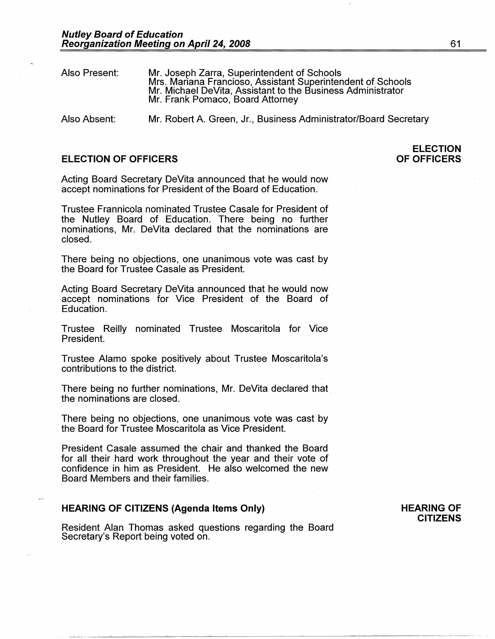| Also Present: | Mr. Joseph Zarra, Superintendent of Schools<br>Mrs. Mariana Francioso, Assistant Superintendent of Schools<br>Mr. Michael DeVita, Assistant to the Business Administrator<br>Mr. Frank Pomaco, Board Attorney |
|---------------|---------------------------------------------------------------------------------------------------------------------------------------------------------------------------------------------------------------|
| Also Absent:  | Mr. Robert A. Green, Jr., Business Administrator/Board Secretary                                                                                                                                              |

# **ELECTION OF OFFICERS**

**ELECTION OF OFFICERS** 

Acting Board Secretary DeVita announced that he would now accept nominations for President of the Board of Education.

Trustee Frannicola nominated Trustee Casale for President of the Nutley Board of Education. There being no further nominations, Mr. DeVita declared that the nominations are closed.

There being no objections, one unanimous vote was cast by the Board for Trustee Casale as President.

Acting Board Secretary DeVita announced that he would now accept nominations for Vice President of the Board of Education.

Trustee Reilly nominated Trustee Moscaritola for Vice President.

Trustee Alamo spoke positively about Trustee Moscaritola's contributions to the district.

There being no further nominations, Mr. DeVita declared that the nominations are closed.

There being no objections, one unanimous vote was cast by the Board for Trustee Moscaritola as Vice President.

President Casale assumed the chair and thanked the Board for all their hard work throughout the year and their vote of confidence in him as President. He also welcomed the new Board Members and their families.

#### **HEARING OF CITIZENS (Agenda Items Only)**

**L•-~--** ---"~~~-~~---~~----------------~------·--------------

Resident Alan Thomas asked questions regarding the Board Secretary's Report being voted on.

### **HEARING OF CITIZENS**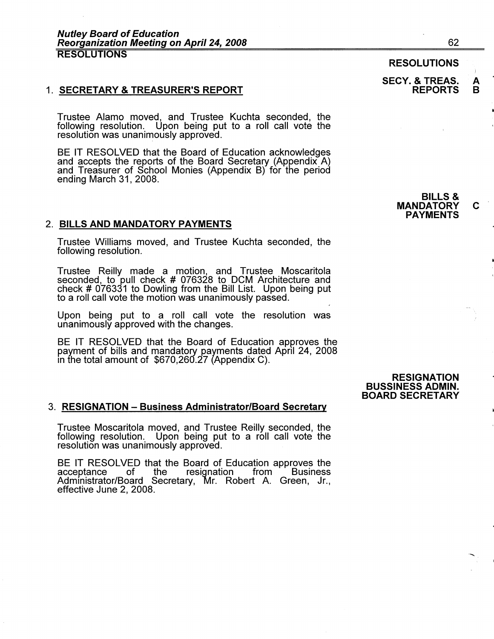# 1. **SECRETARY** & **TREASURER'S REPORT**

Trustee Alamo moved, and Trustee Kuchta seconded, the following resolution. Upon being put to a roll call vote the resolution was unanimously approved.

BE IT RESOLVED that the Board of Education acknowledges and accepts the reports of the Board Secretary (Appendix A) and Treasurer of School Monies (Appendix B) for the period ending March 31, 2008.

#### 2. **BILLS AND MANDATORY PAYMENTS**

Trustee Williams moved, and Trustee Kuchta seconded, the following resolution.

Trustee Reilly made a motion, and Trustee Moscaritola seconded, to pull check # 076328 to DCM Architecture and check# 076331 to Dowling from the Bill List. Upon being put to a roll call vote the motion was unanimously passed.

Upon being put to a roll call vote the resolution was unanimously approved with the changes.

BE IT RESOLVED that the Board of Education approves the payment of bills and mandatory payments dated April 24, 2008 m the total amount of \$670,260.27 (Appendix C).

#### 3. **RESIGNATION** - **Business Administrator/Board Secretary**

Trustee Moscaritola moved, and Trustee Reilly seconded, the following resolution. Upon being put to a roll call vote the resolution was unanimously approved.

BE IT RESOLVED that the Board of Education approves the acceptance of the resignation from Business acceptance of the resignation from Business Administrator/Board Secretary, Mr. Robert A. Green, Jr., effective June 2, 2008.

**RESIGNATION BUSSINESS ADMIN. BOARD SECRETARY** 

62

#### **SECY.** & **TREAS. A REPORTS**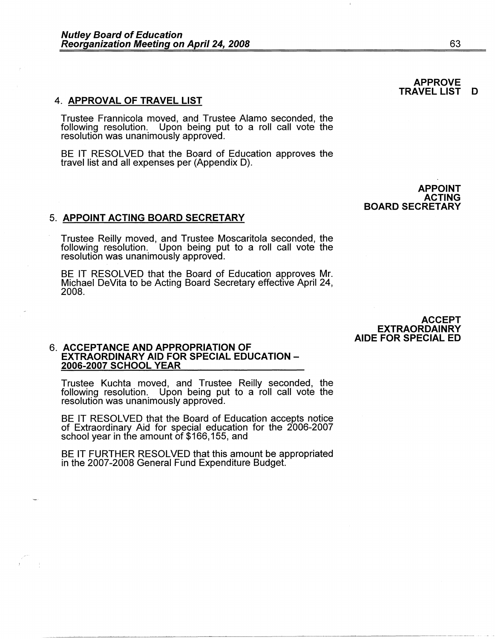#### 4. **APPROVAL OF TRAVEL LIST**

Trustee Frannicola moved, and Trustee Alamo seconded, the following resolution. Upon being put to a roll call vote the resolution was unanimously approved.

BE IT RESOLVED that the Board of Education approves the travel list and all expenses per (Appendix D).

5. **APPOINT ACTING BOARD SECRETARY** 

Trustee Reilly moved, and Trustee Moscaritola seconded, the following resolution. Upon being put to a roll call vote the resolution was unanimously approved.

BE IT RESOLVED that the Board of Education approves Mr. Michael DeVita to be Acting Board Secretary effective April 24, 2008.

> **ACCEPT EXTRAORDAINRY AIDE FOR SPECIAL ED**

# 6. **ACCEPTANCE AND APPROPRIATION OF EXTRAORDINARY AID FOR SPECIAL EDUCATION** - **2006-2007 SCHOOL YEAR**

Trustee Kuchta moved, and Trustee Reilly seconded, the following resolution. Upon being put to a roll call vote the resolution was unanimously approved.

BE IT RESOLVED that the Board of Education accepts notice of Extraordinary Aid for special education for the 2006-2007 school year in the amount of \$166,155, and

BE IT FURTHER RESOLVED that this amount be appropriated in the 2007-2008 General Fund Expenditure Budget.

#### **APPROVE TRAVEL LIST D**

**APPOINT ACTING BOARD SECRETARY**